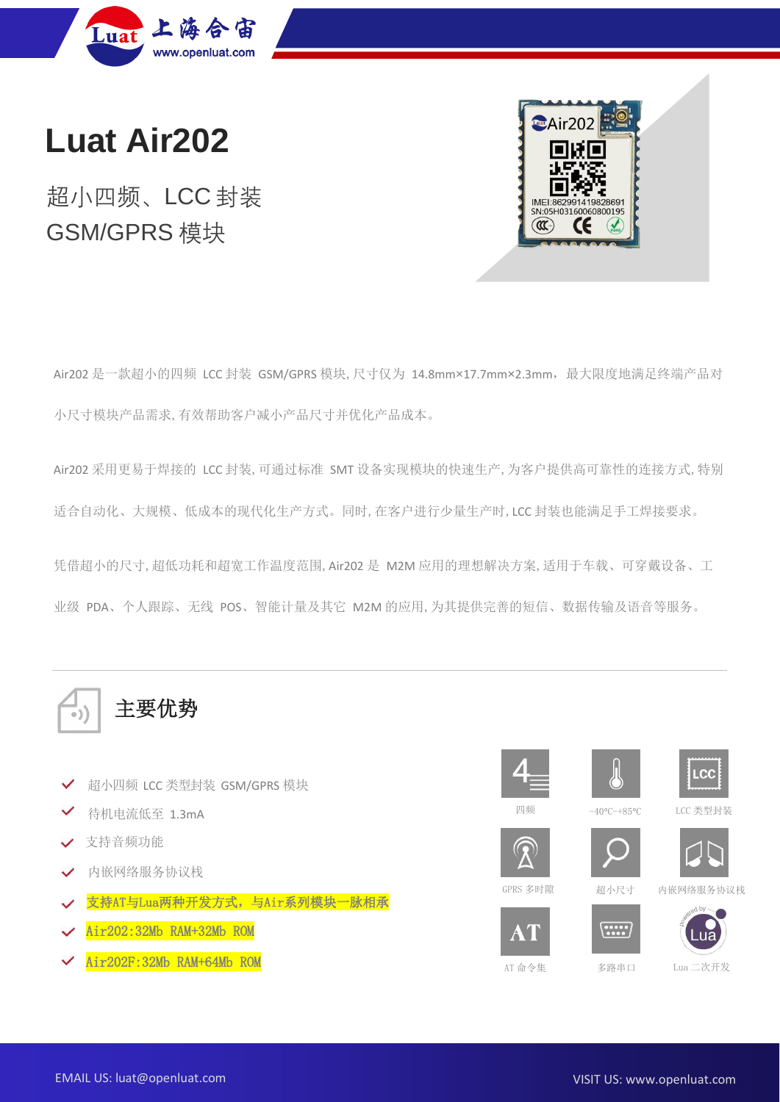

**Luat Air202**

# 超小四频、LCC 封装 GSM/GPRS 模块



Air202 是一款超小的四频 LCC 封装 GSM/GPRS 模块,尺寸仅为 14.8mm×17.7mm×2.3mm,最大限度地满足终端产品对 小尺寸模块产品需求,有效帮助客户减小产品尺寸并优化产品成本。

Air202 采用更易于焊接的 LCC 封装,可通过标准 SMT 设备实现模块的快速生产,为客户提供高可靠性的连接方式,特别 适合自动化、大规模、低成本的现代化生产方式。同时,在客户进行少量生产时,LCC 封装也能满足手工焊接要求。

凭借超小的尺寸,超低功耗和超宽工作温度范围,Air202 是 M2M 应用的理想解决方案,适用于车载、可穿戴设备、工 业级 PDA、个人跟踪、无线 POS、智能计量及其它 M2M 的应用,为其提供完善的短信、数据传输及语音等服务。



- 超小四频 LCC 类型封装 GSM/GPRS 模块  $\checkmark$
- 待机电流低至 1.3mA
- 支持音频功能
- 内嵌网络服务协议栈  $\checkmark$
- 支持AT与Lua两种开发方式,与Air系列模块一脉相承
- Air202:32Mb RAM+32Mb ROM
- Air202F:32Mb RAM+64Mb ROM







四频





 $\sim$ 



 $\blacksquare$ 



AT 命令集

GPRS 多时隙 超小尺寸 内嵌网络服务协议栈



 $\left(\frac{1}{2},\frac{1}{2},\frac{1}{2}\right)$ 

多路串口 Lua 二次开发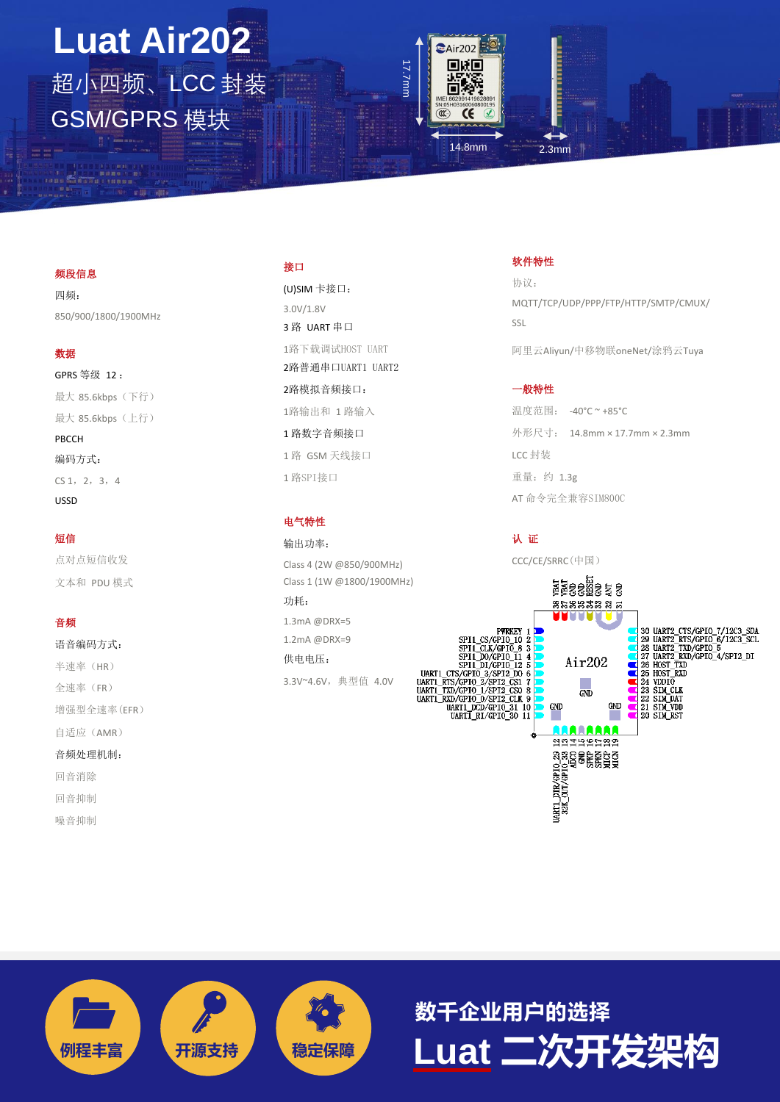# **Luat Air202** 超小四频、LCC 封装 GSM/GPRS 模块



### 14.8mm 2.3mm

#### 频段信息

 $\mathscr{F}$ 

四频: 850/900/1800/1900MHz

#### 数据

GPRS 等级 12 : 最大 85.6kbps (下行) 最大 85.6kbps (上行) PBCCH 编码方式:  $CS 1, 2, 3, 4$ USSD

#### 短信

点对点短信收发 文本和 PDU 模式

### 音频

语音编码方式: 半速率(HR) 全速率(FR) 增强型全速率(EFR) 自适应(AMR) 音频处理机制: 回音消除 回音抑制 噪音抑制

### 接口

(U)SIM 卡接口: 3.0V/1.8V 3 路 UART 串口 1路下载调试HOST UART 2路普通串口UART1 UART2 2路模拟音频接口: 1路输出和 1 路输入 1 路数字音频接口 1 路 GSM 天线接口 1 路SPI接口

#### 电气特性

输出功率: Class 4 (2W @850/900MHz) Class 1 (1W @1800/1900MHz) 功耗:

1.3mA @DRX=5 1.2mA @DRX=9 供电电压: 3.3V~4.6V,典型值 4.0V 软件特性

协议: MQTT/TCP/UDP/PPP/FTP/HTTP/SMTP/CMUX/ SSL

阿里云Aliyun/中移物联oneNet/涂鸦云Tuya

### 一般特性

温度范围: -40°C ~ +85°C 外形尺寸: 14.8mm × 17.7mm × 2.3mm LCC 封装 重量:约 1.3g AT 命令完全兼容SIM800C

认 证

CCC/CE/SRRC(中国)





**例程丰富 开源支持 稳定保障 Luat 二次开发架构 数千企业用户的选择**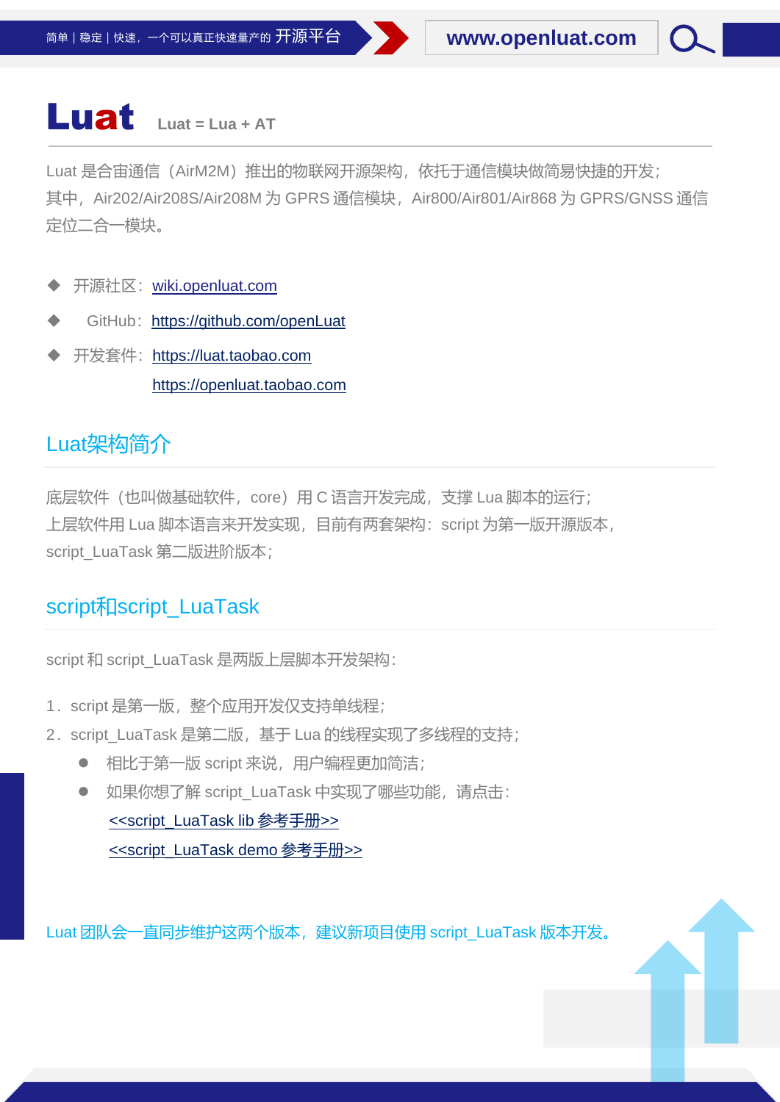# Luat **Luat = Lua + AT**

Luat 是合宙通信(AirM2M)推出的物联网开源架构, 依托于通信模块做简易快捷的开发; 其中, Air202/Air208S/Air208M 为 GPRS 通信模块, Air800/Air801/Air868 为 GPRS/GNSS 通信 定位二合一模块。

- 开源社区: <wiki.openluat.com>
- GitHub: [https://github.com/openLuat](https://github.com/openLuat/Luat_Air202-Air800-Air201)
- 开发套件: [https://luat.taobao.com](https://luat.taobao.com/) [https://openluat.taobao.com](https://openluat.taobao.com/)

## Luat架构简介

底层软件(也叫做基础软件, core)用 C 语言开发完成, 支撑 Lua 脚本的运行; 上层软件用 Lua 脚本语言来开发实现,目前有两套架构: script 为第一版开源版本, script\_LuaTask 第二版进阶版本;

## script和script\_LuaTask

script 和 script LuaTask 是两版上层脚本开发架构:

- 1.script 是第一版,整个应用开发仅支持单线程;
- 2. script\_LuaTask 是第二版, 基于 Lua 的线程实现了多线程的支持;
	- 相比于第一版 script 来说, 用户编程更加简洁;
	- 如果你想了解 script\_LuaTask 中实现了哪些功能, 请点击: [<<script\\_LuaTask lib](https://htmlpreview.github.io/?https://github.com/openLuat/Luat_2G_RDA_8955/blob/master/script_LuaTask/doc/lib/index.html) 参考手册>> [<<script\\_LuaTask demo](https://htmlpreview.github.io/?https://github.com/openLuat/Luat_2G_RDA_8955/blob/master/script_LuaTask/doc/demo/index.html) 参考手册>>

Luat 团队会一直同步维护这两个版本,建议新项目使用 script\_LuaTask 版本开发。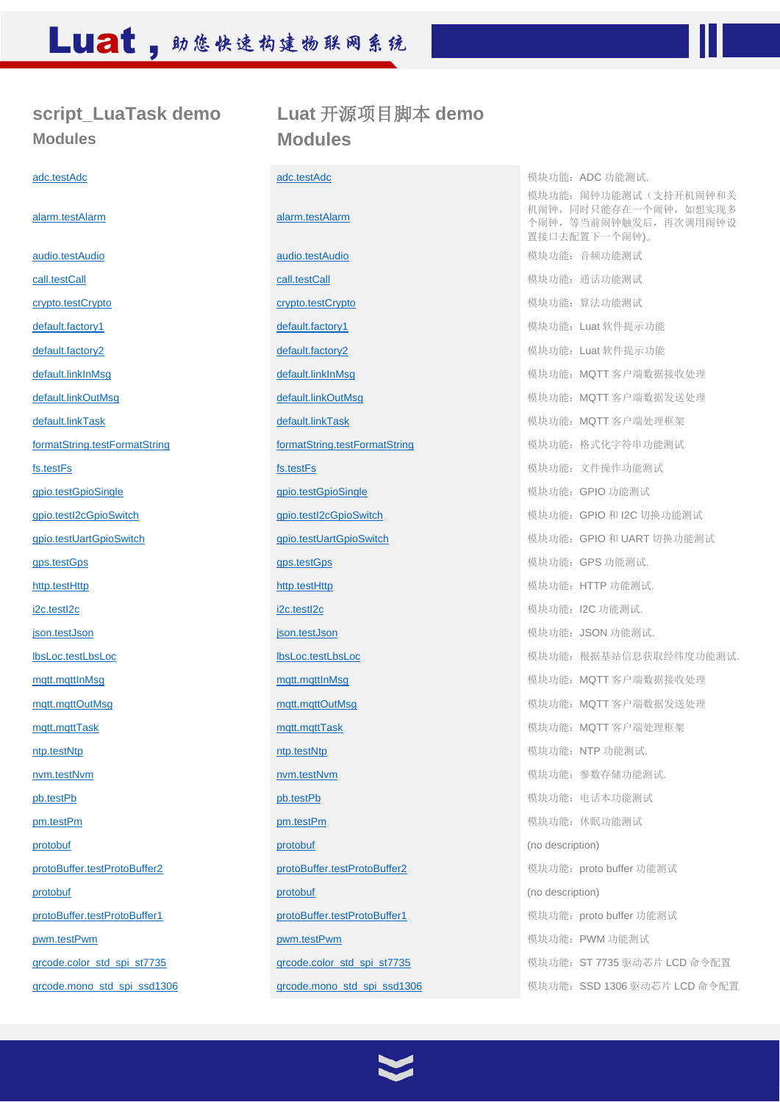## **script\_LuaTask demo Modules**

[audio.testAudio](https://htmlpreview.github.io/?https://raw.githubusercontent.com/openLuat/Luat_2G_RDA_8955/master/script_LuaTask/doc/demo/modules/audio.testAudio.html) audio.testAudio audio.testAudio audio.testAudio audio.testAudio 模块功能:音频功能测试 [call.testCall](https://htmlpreview.github.io/?https://raw.githubusercontent.com/openLuat/Luat_2G_RDA_8955/master/script_LuaTask/doc/demo/modules/call.testCall.html) call.testCall call.testCall call.testCall call.testCall call.testCall call.testCall call.testCall [crypto.testCrypto](https://htmlpreview.github.io/?https://raw.githubusercontent.com/openLuat/Luat_2G_RDA_8955/master/script_LuaTask/doc/demo/modules/crypto.testCrypto.html) **crypto.testCrypto** crypto.testCrypto crypto.testCrypto crypto.testCrypto [default.factory1](https://htmlpreview.github.io/?https://raw.githubusercontent.com/openLuat/Luat_2G_RDA_8955/master/script_LuaTask/doc/demo/modules/default.factory1.html) **default.factory1** default.factory1 **default.factory** default.factory<sup>1</sup> 模块功能: Luat 软件提示功能 [default.factory2](https://htmlpreview.github.io/?https://raw.githubusercontent.com/openLuat/Luat_2G_RDA_8955/master/script_LuaTask/doc/demo/modules/default.factory2.html) **default.factory2** default.factory2 **default.factory2** 模块功能: Luat 软件提示功能 [default.linkTask](https://htmlpreview.github.io/?https://raw.githubusercontent.com/openLuat/Luat_2G_RDA_8955/master/script_LuaTask/doc/demo/modules/default.linkTask.html) default.linkTask 模块功能: MQTT 客户端处理框架 [formatString.testFormatString](https://htmlpreview.github.io/?https://raw.githubusercontent.com/openLuat/Luat_2G_RDA_8955/master/script_LuaTask/doc/demo/modules/formatString.testFormatString.html) formatString.testFormatString formatString testFormatString 模块功能:格式化字符串功能测试 [fs.testFs](https://htmlpreview.github.io/?https://raw.githubusercontent.com/openLuat/Luat_2G_RDA_8955/master/script_LuaTask/doc/demo/modules/fs.testFs.html) **formation in the setFs** fraction of the setFs formation of the setFs formation of the set of the set of the set of the set of the set of the set of the set of the set of the set of the set of the set of the set [gpio.testGpioSingle](https://htmlpreview.github.io/?https://raw.githubusercontent.com/openLuat/Luat_2G_RDA_8955/master/script_LuaTask/doc/demo/modules/gpio.testGpioSingle.html) **gpio.testGpioSingle** gpio.testGpioSingle development development development development deve [gps.testGps](https://htmlpreview.github.io/?https://raw.githubusercontent.com/openLuat/Luat_2G_RDA_8955/master/script_LuaTask/doc/demo/modules/gps.testGps.html) gps.testGps 模块功能: GPS 功能测试. [http.testHttp](https://htmlpreview.github.io/?https://raw.githubusercontent.com/openLuat/Luat_2G_RDA_8955/master/script_LuaTask/doc/demo/modules/http.testHttp.html) http.testHttp http.testHttp http.testHttp http://www.facebook.com/intervention-testHttp http://testHttp discussion[i2c.testI2c](https://htmlpreview.github.io/?https://raw.githubusercontent.com/openLuat/Luat_2G_RDA_8955/master/script_LuaTask/doc/demo/modules/i2c.testI2c.html) **i2c.testI2c** i2c.testI2c **i2c.testI2c i2c.testI2c i2c.testI2c i2c.testI2c i2c.testI2c i2c.testI2c** [json.testJson](https://htmlpreview.github.io/?https://raw.githubusercontent.com/openLuat/Luat_2G_RDA_8955/master/script_LuaTask/doc/demo/modules/json.testJson.html) **between the context of the set and ison.testJson** between the context of the distribution of the t [mqtt.mqttTask](https://htmlpreview.github.io/?https://raw.githubusercontent.com/openLuat/Luat_2G_RDA_8955/master/script_LuaTask/doc/demo/modules/mqtt.mqttTask.html) mqtt.mqttTask 模块功能:MQTT 客户端处理框架 [ntp.testNtp](https://htmlpreview.github.io/?https://raw.githubusercontent.com/openLuat/Luat_2G_RDA_8955/master/script_LuaTask/doc/demo/modules/ntp.testNtp.html) **ntp.testNtp ntp.testNtp ntp.testNtp ntp.testNtp ntp.testNtp ntp.testNtp** [nvm.testNvm](https://htmlpreview.github.io/?https://raw.githubusercontent.com/openLuat/Luat_2G_RDA_8955/master/script_LuaTask/doc/demo/modules/nvm.testNvm.html) nvm.testNvm nvm.testNvm nvm.testNvm determination development in the test of the social development of the societies of the nvm testNvm development in the societies of the societies of the societies of the soc [pb.testPb](https://htmlpreview.github.io/?https://raw.githubusercontent.com/openLuat/Luat_2G_RDA_8955/master/script_LuaTask/doc/demo/modules/pb.testPb.html) pb.testPb pb.testPb pb.testPb pb.testPb 模块功能:电话本功能测试 [pm.testPm](https://htmlpreview.github.io/?https://raw.githubusercontent.com/openLuat/Luat_2G_RDA_8955/master/script_LuaTask/doc/demo/modules/pm.testPm.html) **pm.testPm pm.testPm pm.testPm pm.testPm pm.testPm defined** by the pm.testPm [protobuf](https://htmlpreview.github.io/?https://raw.githubusercontent.com/openLuat/Luat_2G_RDA_8955/master/script_LuaTask/doc/demo/modules/protobuf.html) **protobuf protobure the protobure of the protobure of the protobure of the protobure of the protobure of the protobure of the protobure of the protobure of the protobure of the protobure of the protobure of the** [protoBuffer.testProtoBuffer2](https://htmlpreview.github.io/?https://raw.githubusercontent.com/openLuat/Luat_2G_RDA_8955/master/script_LuaTask/doc/demo/modules/protoBuffer.testProtoBuffer2.html) protoBuffer.testProtoBuffer.testProtoBuffer2 模块功能:proto buffer 功能测试 [protobuf](https://htmlpreview.github.io/?https://raw.githubusercontent.com/openLuat/Luat_2G_RDA_8955/master/script_LuaTask/doc/demo/modules/protobuf.html) [protobuf](https://htmlpreview.github.io/?https://raw.githubusercontent.com/openLuat/Luat_2G_RDA_8955/master/script_LuaTask/doc/demo/modules/protobuf.html) (no description) [protoBuffer.testProtoBuffer1](https://htmlpreview.github.io/?https://raw.githubusercontent.com/openLuat/Luat_2G_RDA_8955/master/script_LuaTask/doc/demo/modules/protoBuffer.testProtoBuffer1.html) protoBuffer.testProtoBuffer1 有块功能:proto buffer 功能测试 [pwm.testPwm](https://htmlpreview.github.io/?https://raw.githubusercontent.com/openLuat/Luat_2G_RDA_8955/master/script_LuaTask/doc/demo/modules/pwm.testPwm.html) pwm.testPwm pwm.testPwm pwm.testPwm desterved and the product of the pwm.testPwm desterved and the position of the particle of the particle of the particle of the particle of the particle of the particle of th

### **Luat** 开源项目脚本 **demo Modules**

[alarm.testAlarm](https://htmlpreview.github.io/?https://raw.githubusercontent.com/openLuat/Luat_2G_RDA_8955/master/script_LuaTask/doc/demo/modules/alarm.testAlarm.html) [alarm.testAlarm](https://htmlpreview.github.io/?https://raw.githubusercontent.com/openLuat/Luat_2G_RDA_8955/master/script_LuaTask/doc/demo/modules/alarm.testAlarm.html)

[adc.testAdc](https://htmlpreview.github.io/?https://raw.githubusercontent.com/openLuat/Luat_2G_RDA_8955/master/script_LuaTask/doc/demo/modules/adc.testAdc.html) **adderserved adderer adderer adcentive adderserved adderer adderer adderserved adderserved adderserved adderserved adderserved adderserved adderserved and adderserved and adderserved adderserved and adderserve** 模块功能:闹钟功能测试(支持开机闹钟和关 机闹钟,同时只能存在一个闹钟,如想实现多 个闹钟,等当前闹钟触发后,再次调用闹钟设 置接口去配置下一个闹钟)。 [default.linkInMsg](https://htmlpreview.github.io/?https://raw.githubusercontent.com/openLuat/Luat_2G_RDA_8955/master/script_LuaTask/doc/demo/modules/default.linkInMsg.html) default.linkInMsg 模块功能: MQTT 客户端数据接收处理 default.linkOutMsq default.linkOutMsq 模块功能:MMQTT 客户端数据发送处理 [gpio.testI2cGpioSwitch](https://htmlpreview.github.io/?https://raw.githubusercontent.com/openLuat/Luat_2G_RDA_8955/master/script_LuaTask/doc/demo/modules/gpio.testI2cGpioSwitch.html) gpio.testI2cGpioSwitch gpio.testI2cGpioSwitch 模块功能:GPIO 和 I2C 切换功能测试 [gpio.testUartGpioSwitch](https://htmlpreview.github.io/?https://raw.githubusercontent.com/openLuat/Luat_2G_RDA_8955/master/script_LuaTask/doc/demo/modules/gpio.testUartGpioSwitch.html) and gpio.testUartGpioSwitch gpio.testUartGpioSwitch 模块功能:GPIO 和 UART 切换功能测试 [lbsLoc.testLbsLoc](https://htmlpreview.github.io/?https://raw.githubusercontent.com/openLuat/Luat_2G_RDA_8955/master/script_LuaTask/doc/demo/modules/lbsLoc.testLbsLoc.html) [lbsLoc.testLbsLoc](https://htmlpreview.github.io/?https://raw.githubusercontent.com/openLuat/Luat_2G_RDA_8955/master/script_LuaTask/doc/demo/modules/lbsLoc.testLbsLoc.html) 模块功能:根据基站信息获取经纬度功能测试. mqtt.mqttInMsq mqtt.mqttInMsq 模块功能:MQTT 客户端数据接收处理 mqtt.mqttOutMsq mqtt.mqttOutMsq 模块功能: MQTT 客户端数据发送处理 [qrcode.color\\_std\\_spi\\_st7735](https://htmlpreview.github.io/?https://raw.githubusercontent.com/openLuat/Luat_2G_RDA_8955/master/script_LuaTask/doc/demo/modules/qrcode.color_std_spi_st7735.html) qrcode.color\_std\_spi\_st7735 driversecolor\_std\_spi\_st7735 match of the color std spi grcode.mono\_std\_spi\_ssd1306 corrected.mono\_std\_spi\_ssd1306 to the 模块功能:SSD 1306 驱动芯片 LCD 命令配置